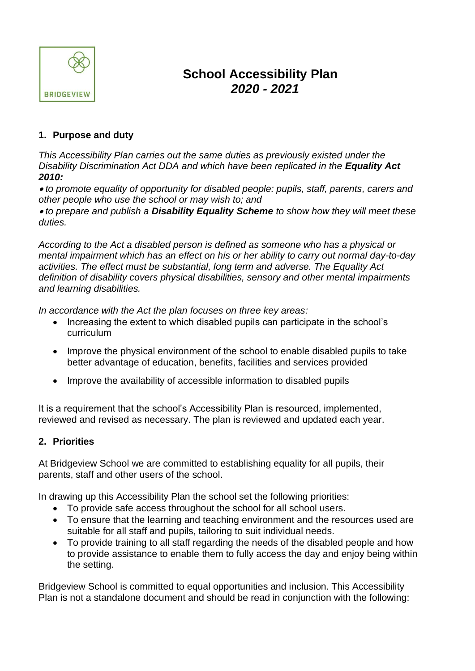

# **School Accessibility Plan**  *2020 - 2021*

# **1. Purpose and duty**

*This Accessibility Plan carries out the same duties as previously existed under the Disability Discrimination Act DDA and which have been replicated in the Equality Act 2010:*

• *to promote equality of opportunity for disabled people: pupils, staff, parents, carers and other people who use the school or may wish to; and* 

• *to prepare and publish a Disability Equality Scheme to show how they will meet these duties.*

*According to the Act a disabled person is defined as someone who has a physical or mental impairment which has an effect on his or her ability to carry out normal day-to-day activities. The effect must be substantial, long term and adverse. The Equality Act definition of disability covers physical disabilities, sensory and other mental impairments and learning disabilities.* 

*In accordance with the Act the plan focuses on three key areas:*

- Increasing the extent to which disabled pupils can participate in the school's curriculum
- Improve the physical environment of the school to enable disabled pupils to take better advantage of education, benefits, facilities and services provided
- Improve the availability of accessible information to disabled pupils

It is a requirement that the school's Accessibility Plan is resourced, implemented, reviewed and revised as necessary. The plan is reviewed and updated each year.

## **2. Priorities**

At Bridgeview School we are committed to establishing equality for all pupils, their parents, staff and other users of the school.

In drawing up this Accessibility Plan the school set the following priorities:

- To provide safe access throughout the school for all school users.
- To ensure that the learning and teaching environment and the resources used are suitable for all staff and pupils, tailoring to suit individual needs.
- To provide training to all staff regarding the needs of the disabled people and how to provide assistance to enable them to fully access the day and enjoy being within the setting.

Bridgeview School is committed to equal opportunities and inclusion. This Accessibility Plan is not a standalone document and should be read in conjunction with the following: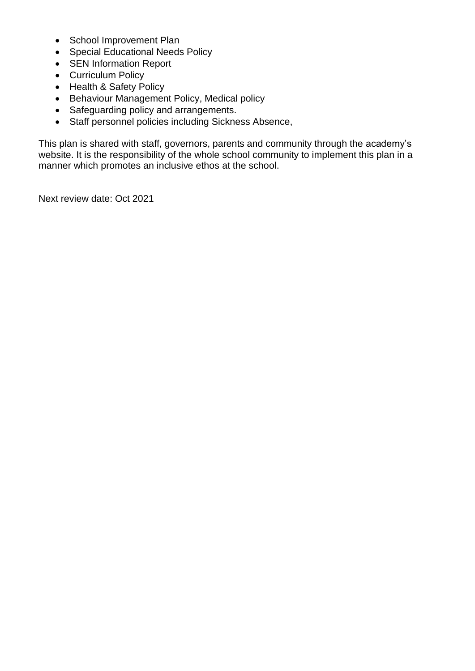- School Improvement Plan
- Special Educational Needs Policy
- SEN Information Report
- Curriculum Policy
- Health & Safety Policy
- Behaviour Management Policy, Medical policy
- Safeguarding policy and arrangements.
- Staff personnel policies including Sickness Absence,

This plan is shared with staff, governors, parents and community through the academy's website. It is the responsibility of the whole school community to implement this plan in a manner which promotes an inclusive ethos at the school.

Next review date: Oct 2021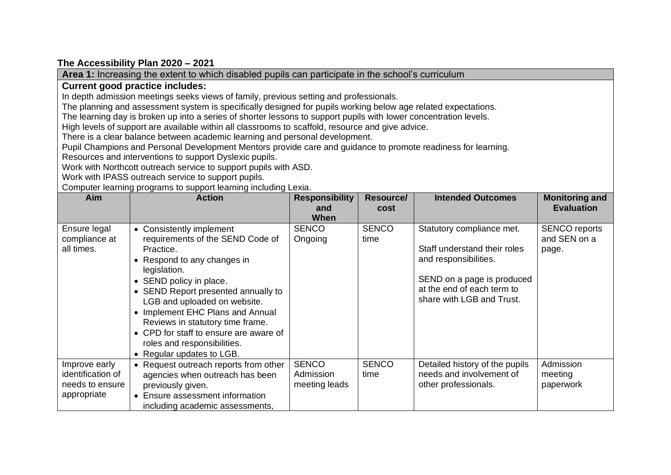## **The Accessibility Plan 2020 – 2021**

appropriate

• Ensure assessment information including academic assessments,

**Area 1:** Increasing the extent to which disabled pupils can participate in the school's curriculum **Current good practice includes:** In depth admission meetings seeks views of family, previous setting and professionals. The planning and assessment system is specifically designed for pupils working below age related expectations. The learning day is broken up into a series of shorter lessons to support pupils with lower concentration levels. High levels of support are available within all classrooms to scaffold, resource and give advice. There is a clear balance between academic learning and personal development. Pupil Champions and Personal Development Mentors provide care and guidance to promote readiness for learning. Resources and interventions to support Dyslexic pupils. Work with Northcott outreach service to support pupils with ASD. Work with IPASS outreach service to support pupils. Computer learning programs to support learning including Lexia. **Aim Action Responsibility and When Resource/ cost Intended Outcomes Monitoring and Evaluation** Ensure legal compliance at all times. • Consistently implement requirements of the SEND Code of Practice. • Respond to any changes in legislation. • SEND policy in place. • SEND Report presented annually to LGB and uploaded on website. • Implement EHC Plans and Annual Reviews in statutory time frame. • CPD for staff to ensure are aware of roles and responsibilities. • Regular updates to LGB. **SENCO Ongoing SENCO** time Statutory compliance met. Staff understand their roles and responsibilities. SEND on a page is produced at the end of each term to share with LGB and Trust. SENCO reports and SEN on a page. Improve early identification of needs to ensure • Request outreach reports from other agencies when outreach has been previously given. **SENCO** Admission meeting leads **SENCO** time Detailed history of the pupils needs and involvement of other professionals. Admission meeting paperwork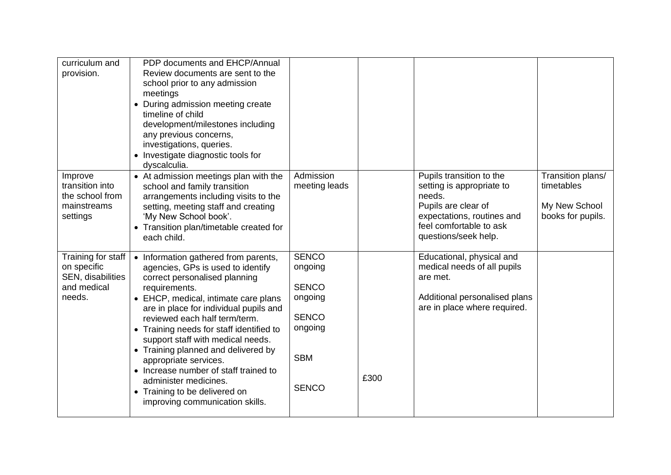| curriculum and<br>provision.                                                    | PDP documents and EHCP/Annual<br>Review documents are sent to the<br>school prior to any admission<br>meetings<br>• During admission meeting create<br>timeline of child<br>development/milestones including<br>any previous concerns,<br>investigations, queries.<br>• Investigate diagnostic tools for<br>dyscalculia.                                                                                                                                                                                                              |                                                                                                             |      |                                                                                                                                                                         |                                                                       |
|---------------------------------------------------------------------------------|---------------------------------------------------------------------------------------------------------------------------------------------------------------------------------------------------------------------------------------------------------------------------------------------------------------------------------------------------------------------------------------------------------------------------------------------------------------------------------------------------------------------------------------|-------------------------------------------------------------------------------------------------------------|------|-------------------------------------------------------------------------------------------------------------------------------------------------------------------------|-----------------------------------------------------------------------|
| Improve<br>transition into<br>the school from<br>mainstreams<br>settings        | • At admission meetings plan with the<br>school and family transition<br>arrangements including visits to the<br>setting, meeting staff and creating<br>'My New School book'.<br>• Transition plan/timetable created for<br>each child.                                                                                                                                                                                                                                                                                               | Admission<br>meeting leads                                                                                  |      | Pupils transition to the<br>setting is appropriate to<br>needs.<br>Pupils are clear of<br>expectations, routines and<br>feel comfortable to ask<br>questions/seek help. | Transition plans/<br>timetables<br>My New School<br>books for pupils. |
| Training for staff<br>on specific<br>SEN, disabilities<br>and medical<br>needs. | • Information gathered from parents,<br>agencies, GPs is used to identify<br>correct personalised planning<br>requirements.<br>• EHCP, medical, intimate care plans<br>are in place for individual pupils and<br>reviewed each half term/term.<br>• Training needs for staff identified to<br>support staff with medical needs.<br>• Training planned and delivered by<br>appropriate services.<br>• Increase number of staff trained to<br>administer medicines.<br>• Training to be delivered on<br>improving communication skills. | <b>SENCO</b><br>ongoing<br><b>SENCO</b><br>ongoing<br><b>SENCO</b><br>ongoing<br><b>SBM</b><br><b>SENCO</b> | £300 | Educational, physical and<br>medical needs of all pupils<br>are met.<br>Additional personalised plans<br>are in place where required.                                   |                                                                       |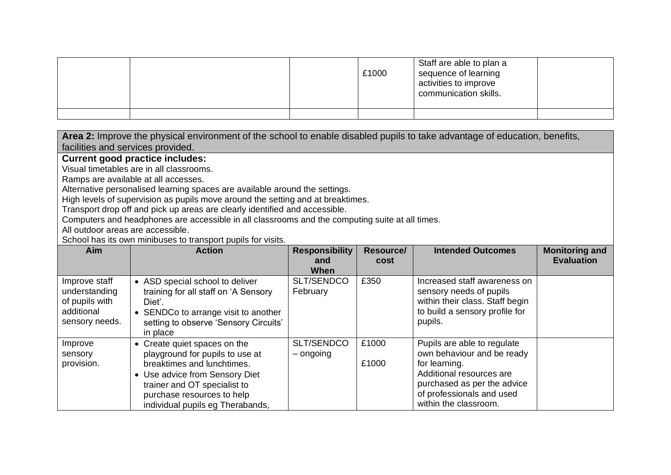|  | £1000 | Staff are able to plan a<br>sequence of learning<br>activities to improve<br>communication skills. |  |
|--|-------|----------------------------------------------------------------------------------------------------|--|
|  |       |                                                                                                    |  |

**Area 2:** Improve the physical environment of the school to enable disabled pupils to take advantage of education, benefits, facilities and services provided.

#### **Current good practice includes:**

Visual timetables are in all classrooms.

Ramps are available at all accesses.

Alternative personalised learning spaces are available around the settings.

High levels of supervision as pupils move around the setting and at breaktimes.

Transport drop off and pick up areas are clearly identified and accessible.

Computers and headphones are accessible in all classrooms and the computing suite at all times.

All outdoor areas are accessible.

School has its own minibuses to transport pupils for visits.

| Aim                                                                              | <b>Action</b>                                                                                                                                                                                                                     | <b>Responsibility</b><br>and<br>When | <b>Resource/</b><br>cost | <b>Intended Outcomes</b>                                                                                                                                                                    | <b>Monitoring and</b><br><b>Evaluation</b> |
|----------------------------------------------------------------------------------|-----------------------------------------------------------------------------------------------------------------------------------------------------------------------------------------------------------------------------------|--------------------------------------|--------------------------|---------------------------------------------------------------------------------------------------------------------------------------------------------------------------------------------|--------------------------------------------|
| Improve staff<br>understanding<br>of pupils with<br>additional<br>sensory needs. | • ASD special school to deliver<br>training for all staff on 'A Sensory<br>Diet'.<br>• SENDCo to arrange visit to another<br>setting to observe 'Sensory Circuits'<br>in place                                                    | SLT/SENDCO<br>February               | £350                     | Increased staff awareness on<br>sensory needs of pupils<br>within their class. Staff begin<br>to build a sensory profile for<br>pupils.                                                     |                                            |
| Improve<br>sensory<br>provision.                                                 | • Create quiet spaces on the<br>playground for pupils to use at<br>breaktimes and lunchtimes.<br>• Use advice from Sensory Diet<br>trainer and OT specialist to<br>purchase resources to help<br>individual pupils eg Therabands, | SLT/SENDCO<br>– ongoing              | £1000<br>£1000           | Pupils are able to regulate<br>own behaviour and be ready<br>for learning.<br>Additional resources are<br>purchased as per the advice<br>of professionals and used<br>within the classroom. |                                            |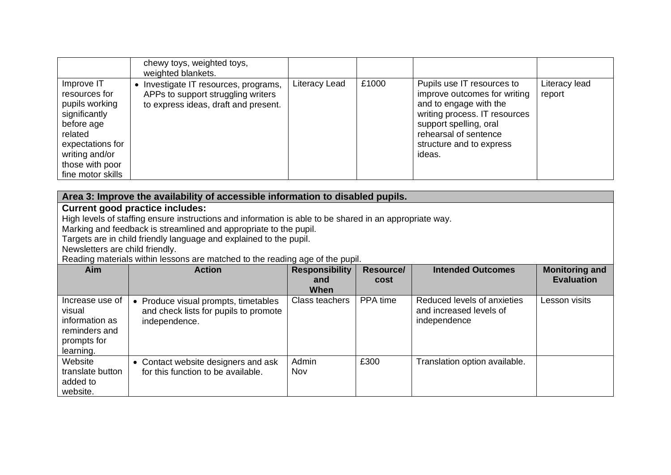|                                                                                                                                                                       | chewy toys, weighted toys,<br>weighted blankets.                                                                  |               |       |                                                                                                                                                                                                                |                         |
|-----------------------------------------------------------------------------------------------------------------------------------------------------------------------|-------------------------------------------------------------------------------------------------------------------|---------------|-------|----------------------------------------------------------------------------------------------------------------------------------------------------------------------------------------------------------------|-------------------------|
| Improve IT<br>resources for<br>pupils working<br>significantly<br>before age<br>related<br>expectations for<br>writing and/or<br>those with poor<br>fine motor skills | Investigate IT resources, programs,<br>APPs to support struggling writers<br>to express ideas, draft and present. | Literacy Lead | £1000 | Pupils use IT resources to<br>improve outcomes for writing<br>and to engage with the<br>writing process. IT resources<br>support spelling, oral<br>rehearsal of sentence<br>structure and to express<br>ideas. | Literacy lead<br>report |

| Area 3: Improve the availability of accessible information to disabled pupils. |                                                                                                         |                       |                  |                               |                       |  |  |
|--------------------------------------------------------------------------------|---------------------------------------------------------------------------------------------------------|-----------------------|------------------|-------------------------------|-----------------------|--|--|
|                                                                                | <b>Current good practice includes:</b>                                                                  |                       |                  |                               |                       |  |  |
|                                                                                | High levels of staffing ensure instructions and information is able to be shared in an appropriate way. |                       |                  |                               |                       |  |  |
|                                                                                | Marking and feedback is streamlined and appropriate to the pupil.                                       |                       |                  |                               |                       |  |  |
|                                                                                | Targets are in child friendly language and explained to the pupil.                                      |                       |                  |                               |                       |  |  |
| Newsletters are child friendly.                                                |                                                                                                         |                       |                  |                               |                       |  |  |
|                                                                                | Reading materials within lessons are matched to the reading age of the pupil.                           |                       |                  |                               |                       |  |  |
| Aim                                                                            | <b>Action</b>                                                                                           | <b>Responsibility</b> | <b>Resource/</b> | <b>Intended Outcomes</b>      | <b>Monitoring and</b> |  |  |
|                                                                                |                                                                                                         | and                   | cost             |                               | <b>Evaluation</b>     |  |  |
|                                                                                |                                                                                                         | When                  |                  |                               |                       |  |  |
| Increase use of                                                                | • Produce visual prompts, timetables                                                                    | Class teachers        | PPA time         | Reduced levels of anxieties   | Lesson visits         |  |  |
| visual                                                                         | and check lists for pupils to promote                                                                   |                       |                  | and increased levels of       |                       |  |  |
| information as                                                                 | independence.                                                                                           |                       |                  | independence                  |                       |  |  |
| reminders and                                                                  |                                                                                                         |                       |                  |                               |                       |  |  |
| prompts for                                                                    |                                                                                                         |                       |                  |                               |                       |  |  |
| learning.                                                                      |                                                                                                         |                       |                  |                               |                       |  |  |
| Website                                                                        | Contact website designers and ask                                                                       | Admin                 | £300             | Translation option available. |                       |  |  |
| translate button                                                               | for this function to be available.                                                                      | Nov                   |                  |                               |                       |  |  |
| added to                                                                       |                                                                                                         |                       |                  |                               |                       |  |  |
| website.                                                                       |                                                                                                         |                       |                  |                               |                       |  |  |